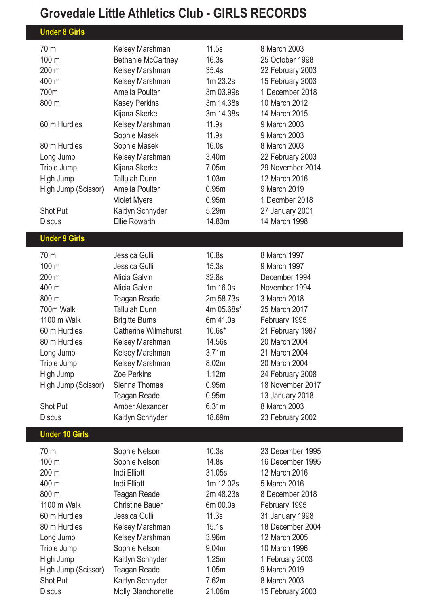## **Grovedale Little Athletics Club - GIRLS RECORDS**

| <b>Under 8 Girls</b>  |                                        |                   |                                 |
|-----------------------|----------------------------------------|-------------------|---------------------------------|
| 70 m                  | Kelsey Marshman                        | 11.5s             | 8 March 2003                    |
| 100 m                 | <b>Bethanie McCartney</b>              | 16.3s             | 25 October 1998                 |
| 200 m                 | Kelsey Marshman                        | 35.4s             | 22 February 2003                |
| 400 m                 | Kelsey Marshman                        | 1m 23.2s          | 15 February 2003                |
| 700m                  | Amelia Poulter                         | 3m 03.99s         | 1 December 2018                 |
| 800 m                 | <b>Kasey Perkins</b>                   | 3m 14.38s         | 10 March 2012                   |
|                       | Kijana Skerke                          | 3m 14.38s         | 14 March 2015                   |
| 60 m Hurdles          | Kelsey Marshman                        | 11.9s             | 9 March 2003                    |
|                       | Sophie Masek                           | 11.9s             | 9 March 2003                    |
| 80 m Hurdles          | Sophie Masek                           | 16.0s             | 8 March 2003                    |
| Long Jump             | Kelsey Marshman                        | 3.40m             | 22 February 2003                |
| Triple Jump           | Kijana Skerke                          | 7.05m             | 29 November 2014                |
| High Jump             | <b>Tallulah Dunn</b>                   | 1.03 <sub>m</sub> | 12 March 2016                   |
| High Jump (Scissor)   | Amelia Poulter                         | 0.95m             | 9 March 2019                    |
|                       | <b>Violet Myers</b>                    | 0.95m             | 1 Decmber 2018                  |
| <b>Shot Put</b>       | Kaitlyn Schnyder                       | 5.29m             | 27 January 2001                 |
| <b>Discus</b>         | <b>Ellie Rowarth</b>                   | 14.83m            | 14 March 1998                   |
| <b>Under 9 Girls</b>  |                                        |                   |                                 |
|                       |                                        |                   |                                 |
| 70 m                  | Jessica Gulli                          | 10.8s             | 8 March 1997                    |
| 100 m                 | Jessica Gulli                          | 15.3s             | 9 March 1997                    |
| 200 m                 | Alicia Galvin                          | 32.8s             | December 1994                   |
| 400 m                 | Alicia Galvin                          | 1m 16.0s          | November 1994                   |
| 800 m                 | Teagan Reade                           | 2m 58.73s         | 3 March 2018                    |
| 700m Walk             | <b>Tallulah Dunn</b>                   | 4m 05.68s*        | 25 March 2017                   |
| 1100 m Walk           | <b>Brigitte Burns</b>                  | 6m 41.0s          | February 1995                   |
| 60 m Hurdles          | <b>Catherine Wilmshurst</b>            | $10.6s*$          | 21 February 1987                |
| 80 m Hurdles          | Kelsey Marshman                        | 14.56s            | 20 March 2004                   |
| Long Jump             | Kelsey Marshman                        | 3.71m             | 21 March 2004                   |
| Triple Jump           | Kelsey Marshman                        | 8.02m             | 20 March 2004                   |
| High Jump             | Zoe Perkins                            | 1.12m             | 24 February 2008                |
| High Jump (Scissor)   | Sienna Thomas                          | 0.95 <sub>m</sub> | 18 November 2017                |
| <b>Shot Put</b>       | <b>Teagan Reade</b><br>Amber Alexander | 0.95m<br>6.31m    | 13 January 2018<br>8 March 2003 |
| <b>Discus</b>         | Kaitlyn Schnyder                       | 18.69m            |                                 |
|                       |                                        |                   | 23 February 2002                |
| <b>Under 10 Girls</b> |                                        |                   |                                 |
| 70 m                  | Sophie Nelson                          | 10.3s             | 23 December 1995                |
| 100 m                 | Sophie Nelson                          | 14.8s             | 16 December 1995                |
| 200 m                 | Indi Elliott                           | 31.05s            | 12 March 2016                   |
| 400 m                 | Indi Elliott                           | 1m 12.02s         | 5 March 2016                    |
| 800 m                 | Teagan Reade                           | 2m 48.23s         | 8 December 2018                 |
| 1100 m Walk           | <b>Christine Bauer</b>                 | 6m 00.0s          | February 1995                   |
| 60 m Hurdles          | Jessica Gulli                          | 11.3s             | 31 January 1998                 |
| 80 m Hurdles          | Kelsey Marshman                        | 15.1s             | 18 December 2004                |
| Long Jump             | Kelsey Marshman                        | 3.96 <sub>m</sub> | 12 March 2005                   |
| Triple Jump           | Sophie Nelson                          | 9.04m             | 10 March 1996                   |
| High Jump             | Kaitlyn Schnyder                       | 1.25m             | 1 February 2003                 |
| High Jump (Scissor)   | <b>Teagan Reade</b>                    | 1.05m             | 9 March 2019                    |
| <b>Shot Put</b>       | Kaitlyn Schnyder                       | 7.62m             | 8 March 2003                    |
| <b>Discus</b>         | Molly Blanchonette                     | 21.06m            | 15 February 2003                |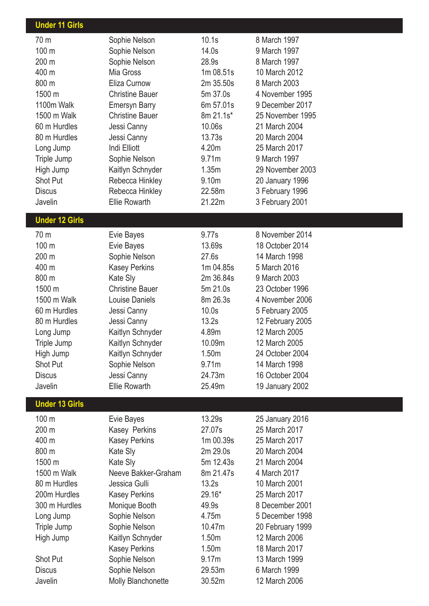| <b>Under 11 Girls</b> |                        |                   |                  |  |
|-----------------------|------------------------|-------------------|------------------|--|
| 70 <sub>m</sub>       | Sophie Nelson          | 10.1s             | 8 March 1997     |  |
| 100 m                 | Sophie Nelson          | 14.0s             | 9 March 1997     |  |
| 200 m                 | Sophie Nelson          | 28.9s             | 8 March 1997     |  |
| 400 m                 | Mia Gross              | 1m 08.51s         | 10 March 2012    |  |
| 800 m                 | Eliza Curnow           | 2m 35.50s         | 8 March 2003     |  |
| 1500 m                | <b>Christine Bauer</b> | 5m 37.0s          | 4 November 1995  |  |
| 1100m Walk            | <b>Emersyn Barry</b>   | 6m 57.01s         | 9 December 2017  |  |
| 1500 m Walk           | <b>Christine Bauer</b> | 8m 21.1s*         | 25 November 1995 |  |
| 60 m Hurdles          | Jessi Canny            | 10.06s            | 21 March 2004    |  |
| 80 m Hurdles          | Jessi Canny            | 13.73s            | 20 March 2004    |  |
| Long Jump             | Indi Elliott           | 4.20m             | 25 March 2017    |  |
| Triple Jump           | Sophie Nelson          | 9.71m             | 9 March 1997     |  |
| High Jump             | Kaitlyn Schnyder       | 1.35m             | 29 November 2003 |  |
| Shot Put              | Rebecca Hinkley        | 9.10m             | 20 January 1996  |  |
| <b>Discus</b>         | Rebecca Hinkley        | 22.58m            | 3 February 1996  |  |
| Javelin               | <b>Ellie Rowarth</b>   | 21.22m            | 3 February 2001  |  |
| <b>Under 12 Girls</b> |                        |                   |                  |  |
| 70 <sub>m</sub>       | Evie Bayes             | 9.77s             | 8 November 2014  |  |
| 100 m                 | Evie Bayes             | 13.69s            | 18 October 2014  |  |
| 200 m                 | Sophie Nelson          | 27.6s             | 14 March 1998    |  |
| 400 m                 | <b>Kasey Perkins</b>   | 1m 04.85s         | 5 March 2016     |  |
| 800 m                 | Kate Sly               | 2m 36.84s         | 9 March 2003     |  |
| 1500 m                | <b>Christine Bauer</b> | 5m 21.0s          | 23 October 1996  |  |
| 1500 m Walk           | Louise Daniels         | 8m 26.3s          | 4 November 2006  |  |
| 60 m Hurdles          | Jessi Canny            | 10.0s             | 5 February 2005  |  |
| 80 m Hurdles          | Jessi Canny            | 13.2s             | 12 February 2005 |  |
| Long Jump             | Kaitlyn Schnyder       | 4.89m             | 12 March 2005    |  |
| Triple Jump           | Kaitlyn Schnyder       | 10.09m            | 12 March 2005    |  |
| High Jump             | Kaitlyn Schnyder       | 1.50 <sub>m</sub> | 24 October 2004  |  |
| Shot Put              | Sophie Nelson          | 9.71 <sub>m</sub> | 14 March 1998    |  |
| <b>Discus</b>         | Jessi Canny            | 24.73m            | 16 October 2004  |  |
| Javelin               | <b>Ellie Rowarth</b>   | 25.49m            | 19 January 2002  |  |
| <b>Under 13 Girls</b> |                        |                   |                  |  |
| 100 m                 | Evie Bayes             | 13.29s            | 25 January 2016  |  |
| 200 m                 | Kasey Perkins          | 27.07s            | 25 March 2017    |  |
| 400 m                 | <b>Kasey Perkins</b>   | 1m 00.39s         | 25 March 2017    |  |
| 800 m                 | Kate Sly               | 2m 29.0s          | 20 March 2004    |  |
| 1500 m                | Kate Sly               | 5m 12.43s         | 21 March 2004    |  |
| 1500 m Walk           | Neeve Bakker-Graham    | 8m 21.47s         | 4 March 2017     |  |
| 80 m Hurdles          | Jessica Gulli          | 13.2s             | 10 March 2001    |  |
| 200m Hurdles          | Kasey Perkins          | 29.16*            | 25 March 2017    |  |
| 300 m Hurdles         | Monique Booth          | 49.9s             | 8 December 2001  |  |
| Long Jump             | Sophie Nelson          | 4.75m             | 5 December 1998  |  |
| Triple Jump           | Sophie Nelson          | 10.47m            | 20 February 1999 |  |
| High Jump             | Kaitlyn Schnyder       | 1.50m             | 12 March 2006    |  |
|                       | <b>Kasey Perkins</b>   | 1.50 <sub>m</sub> | 18 March 2017    |  |
| Shot Put              | Sophie Nelson          | 9.17m             | 13 March 1999    |  |
| <b>Discus</b>         | Sophie Nelson          | 29.53m            | 6 March 1999     |  |
| Javelin               | Molly Blanchonette     | 30.52m            | 12 March 2006    |  |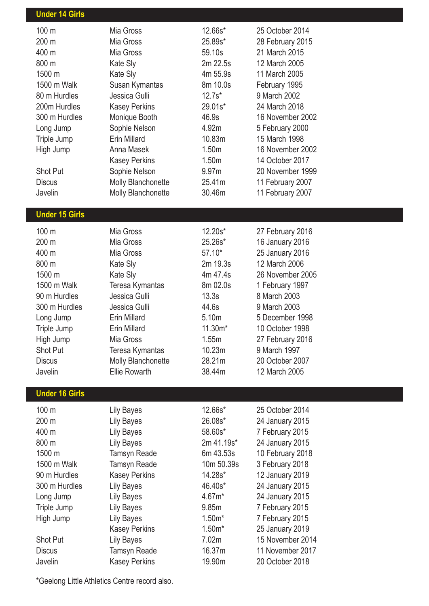| <b>Under 14 Girls</b> |                                       |            |                                     |
|-----------------------|---------------------------------------|------------|-------------------------------------|
| 100 m                 | Mia Gross                             | 12.66s*    | 25 October 2014                     |
| 200 m                 | Mia Gross                             | 25.89s*    | 28 February 2015                    |
| 400 m                 | Mia Gross                             | 59.10s     | 21 March 2015                       |
| 800 m                 | Kate Sly                              | 2m 22.5s   | 12 March 2005                       |
| 1500 m                | <b>Kate Sly</b>                       | 4m 55.9s   | 11 March 2005                       |
| 1500 m Walk           | Susan Kymantas                        | 8m 10.0s   | February 1995                       |
| 80 m Hurdles          | Jessica Gulli                         | $12.7s*$   | 9 March 2002                        |
| 200m Hurdles          | <b>Kasey Perkins</b>                  | 29.01s*    | 24 March 2018                       |
| 300 m Hurdles         | Monique Booth                         | 46.9s      | 16 November 2002                    |
| Long Jump             | Sophie Nelson                         | 4.92m      | 5 February 2000                     |
| Triple Jump           | Erin Millard                          | 10.83m     | 15 March 1998                       |
| High Jump             | Anna Masek                            | 1.50m      | 16 November 2002                    |
|                       | <b>Kasey Perkins</b>                  | 1.50m      | 14 October 2017                     |
| <b>Shot Put</b>       | Sophie Nelson                         | 9.97m      | 20 November 1999                    |
| <b>Discus</b>         | Molly Blanchonette                    | 25.41m     | 11 February 2007                    |
| Javelin               | Molly Blanchonette                    | 30.46m     | 11 February 2007                    |
|                       |                                       |            |                                     |
| <b>Under 15 Girls</b> |                                       |            |                                     |
| 100 m                 | Mia Gross                             | 12.20s*    |                                     |
| 200 m                 | Mia Gross                             | 25.26s*    | 27 February 2016                    |
| 400 m                 | Mia Gross                             | $57.10*$   | 16 January 2016                     |
| 800 m                 |                                       | 2m 19.3s   | 25 January 2016<br>12 March 2006    |
| 1500 m                | <b>Kate Sly</b>                       | 4m 47.4s   | 26 November 2005                    |
| 1500 m Walk           | Kate Sly<br>Teresa Kymantas           | 8m 02.0s   | 1 February 1997                     |
| 90 m Hurdles          | Jessica Gulli                         | 13.3s      | 8 March 2003                        |
| 300 m Hurdles         | Jessica Gulli                         | 44.6s      | 9 March 2003                        |
| Long Jump             | <b>Erin Millard</b>                   | 5.10m      | 5 December 1998                     |
| Triple Jump           | <b>Erin Millard</b>                   | 11.30m*    | 10 October 1998                     |
|                       | Mia Gross                             | 1.55m      | 27 February 2016                    |
| High Jump<br>Shot Put |                                       | 10.23m     | 9 March 1997                        |
| <b>Discus</b>         | Teresa Kymantas<br>Molly Blanchonette | 28.21m     | 20 October 2007                     |
| Javelin               | <b>Ellie Rowarth</b>                  | 38.44m     | 12 March 2005                       |
|                       |                                       |            |                                     |
| <b>Under 16 Girls</b> |                                       |            |                                     |
| 100 m                 | <b>Lily Bayes</b>                     | 12.66s*    | 25 October 2014                     |
| 200 m                 | <b>Lily Bayes</b>                     | 26.08s*    | 24 January 2015                     |
| 400 m                 | <b>Lily Bayes</b>                     | 58.60s*    | 7 February 2015                     |
| 800 m                 | <b>Lily Bayes</b>                     | 2m 41.19s* | 24 January 2015                     |
| 1500 m                | <b>Tamsyn Reade</b>                   | 6m 43.53s  | 10 February 2018                    |
| 1500 m Walk           | Tamsyn Reade                          | 10m 50.39s | 3 February 2018                     |
| 90 m Hurdles          | <b>Kasey Perkins</b>                  | 14.28s*    | 12 January 2019                     |
| 300 m Hurdles         |                                       | 46.40s*    | 24 January 2015                     |
|                       | <b>Lily Bayes</b>                     | 4.67m*     | 24 January 2015                     |
| Long Jump             | <b>Lily Bayes</b>                     | 9.85m      | 7 February 2015                     |
| Triple Jump           | <b>Lily Bayes</b>                     | $1.50m*$   |                                     |
| High Jump             | <b>Lily Bayes</b>                     | $1.50m*$   | 7 February 2015                     |
| <b>Shot Put</b>       | <b>Kasey Perkins</b>                  | 7.02m      | 25 January 2019<br>15 November 2014 |
| <b>Discus</b>         | <b>Lily Bayes</b>                     | 16.37m     | 11 November 2017                    |
| Javelin               | Tamsyn Reade                          | 19.90m     | 20 October 2018                     |
|                       | <b>Kasey Perkins</b>                  |            |                                     |

\*Geelong Little Athletics Centre record also.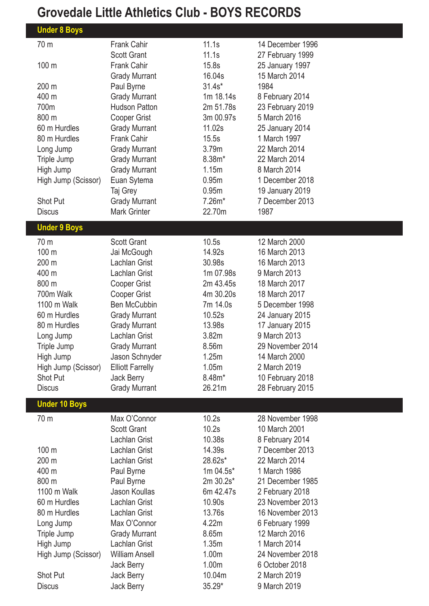## **Grovedale Little Athletics Club - BOYS RECORDS**

| <b>Under 8 Boys</b>  |                         |           |                  |
|----------------------|-------------------------|-----------|------------------|
| 70 m                 | <b>Frank Cahir</b>      | 11.1s     | 14 December 1996 |
|                      | <b>Scott Grant</b>      | 11.1s     | 27 February 1999 |
| 100 m                | <b>Frank Cahir</b>      | 15.8s     | 25 January 1997  |
|                      | <b>Grady Murrant</b>    | 16.04s    | 15 March 2014    |
| 200 m                | Paul Byrne              | $31.4s*$  | 1984             |
| 400 m                | <b>Grady Murrant</b>    | 1m 18.14s | 8 February 2014  |
| 700m                 | <b>Hudson Patton</b>    | 2m 51.78s | 23 February 2019 |
| 800 m                | Cooper Grist            | 3m 00.97s | 5 March 2016     |
| 60 m Hurdles         | <b>Grady Murrant</b>    | 11.02s    | 25 January 2014  |
| 80 m Hurdles         | <b>Frank Cahir</b>      | 15.5s     | 1 March 1997     |
| Long Jump            | <b>Grady Murrant</b>    | 3.79m     | 22 March 2014    |
| Triple Jump          | <b>Grady Murrant</b>    | $8.38m*$  | 22 March 2014    |
| High Jump            | <b>Grady Murrant</b>    | 1.15m     | 8 March 2014     |
| High Jump (Scissor)  | Euan Sytema             | 0.95m     | 1 December 2018  |
|                      | Taj Grey                | 0.95m     | 19 January 2019  |
| <b>Shot Put</b>      | <b>Grady Murrant</b>    | $7.26m*$  | 7 December 2013  |
| <b>Discus</b>        | <b>Mark Grinter</b>     | 22.70m    | 1987             |
| <b>Under 9 Boys</b>  |                         |           |                  |
| 70 m                 | <b>Scott Grant</b>      | 10.5s     | 12 March 2000    |
| 100 m                | Jai McGough             | 14.92s    | 16 March 2013    |
| 200 m                | Lachlan Grist           | 30.98s    | 16 March 2013    |
| 400 m                | Lachlan Grist           | 1m 07.98s | 9 March 2013     |
| 800 m                | Cooper Grist            | 2m 43.45s | 18 March 2017    |
| 700m Walk            | Cooper Grist            | 4m 30.20s | 18 March 2017    |
| 1100 m Walk          | <b>Ben McCubbin</b>     | 7m 14.0s  | 5 December 1998  |
| 60 m Hurdles         | <b>Grady Murrant</b>    | 10.52s    | 24 January 2015  |
| 80 m Hurdles         | <b>Grady Murrant</b>    | 13.98s    | 17 January 2015  |
| Long Jump            | Lachlan Grist           | 3.82m     | 9 March 2013     |
| Triple Jump          | <b>Grady Murrant</b>    | 8.56m     | 29 November 2014 |
| High Jump            | Jason Schnyder          | 1.25m     | 14 March 2000    |
| High Jump (Scissor)  | <b>Elliott Farrelly</b> | 1.05m     | 2 March 2019     |
| <b>Shot Put</b>      | Jack Berry              | 8.48m*    | 10 February 2018 |
| <b>Discus</b>        | <b>Grady Murrant</b>    | 26.21m    | 28 February 2015 |
| <b>Under 10 Boys</b> |                         |           |                  |
| 70 m                 | Max O'Connor            | 10.2s     | 28 November 1998 |
|                      | <b>Scott Grant</b>      | 10.2s     | 10 March 2001    |
|                      | Lachlan Grist           | 10.38s    | 8 February 2014  |
| 100 m                | Lachlan Grist           | 14.39s    | 7 December 2013  |
| 200 m                | Lachlan Grist           | 28.62s*   | 22 March 2014    |
| 400 m                | Paul Byrne              | 1m 04.5s* | 1 March 1986     |
| 800 m                | Paul Byrne              | 2m 30.2s* | 21 December 1985 |
| 1100 m Walk          | Jason Koullas           | 6m 42.47s | 2 February 2018  |
| 60 m Hurdles         | Lachlan Grist           | 10.90s    | 23 November 2013 |
| 80 m Hurdles         | Lachlan Grist           | 13.76s    | 16 November 2013 |
| Long Jump            | Max O'Connor            | 4.22m     | 6 February 1999  |
| Triple Jump          | <b>Grady Murrant</b>    | 8.65m     | 12 March 2016    |
| High Jump            | Lachlan Grist           | 1.35m     | 1 March 2014     |
| High Jump (Scissor)  | <b>William Ansell</b>   | 1.00m     | 24 November 2018 |
|                      | Jack Berry              | 1.00m     | 6 October 2018   |
| <b>Shot Put</b>      | Jack Berry              | 10.04m    | 2 March 2019     |
| <b>Discus</b>        | Jack Berry              | 35.29*    | 9 March 2019     |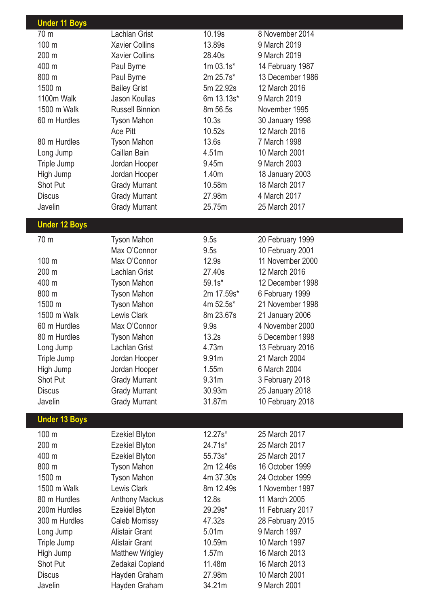| <b>Under 11 Boys</b> |                        |                   |                  |
|----------------------|------------------------|-------------------|------------------|
| 70 m                 | Lachlan Grist          | 10.19s            | 8 November 2014  |
| 100 m                | <b>Xavier Collins</b>  | 13.89s            | 9 March 2019     |
| 200 m                | <b>Xavier Collins</b>  | 28.40s            | 9 March 2019     |
| 400 m                | Paul Byrne             | $1m 03.1s*$       | 14 February 1987 |
| 800 m                | Paul Byrne             | 2m 25.7s*         | 13 December 1986 |
| 1500 m               | <b>Bailey Grist</b>    | 5m 22.92s         | 12 March 2016    |
| 1100m Walk           | Jason Koullas          | 6m 13.13s*        | 9 March 2019     |
| 1500 m Walk          | <b>Russell Binnion</b> | 8m 56.5s          | November 1995    |
| 60 m Hurdles         | <b>Tyson Mahon</b>     | 10.3s             | 30 January 1998  |
|                      | <b>Ace Pitt</b>        | 10.52s            | 12 March 2016    |
| 80 m Hurdles         | <b>Tyson Mahon</b>     | 13.6s             | 7 March 1998     |
| Long Jump            | Caillan Bain           | 4.51m             | 10 March 2001    |
| Triple Jump          | Jordan Hooper          | 9.45m             | 9 March 2003     |
| High Jump            | Jordan Hooper          | 1.40m             | 18 January 2003  |
| <b>Shot Put</b>      | <b>Grady Murrant</b>   | 10.58m            | 18 March 2017    |
| <b>Discus</b>        | <b>Grady Murrant</b>   | 27.98m            | 4 March 2017     |
| Javelin              | <b>Grady Murrant</b>   | 25.75m            | 25 March 2017    |
| <b>Under 12 Boys</b> |                        |                   |                  |
|                      |                        |                   |                  |
| 70 m                 | <b>Tyson Mahon</b>     | 9.5s              | 20 February 1999 |
|                      | Max O'Connor           | 9.5s              | 10 February 2001 |
| 100 m                | Max O'Connor           | 12.9s             | 11 November 2000 |
| 200 m                | <b>Lachlan Grist</b>   | 27.40s            | 12 March 2016    |
| 400 m                | Tyson Mahon            | $59.1s*$          | 12 December 1998 |
| 800 m                | <b>Tyson Mahon</b>     | 2m 17.59s*        | 6 February 1999  |
| 1500 m               | <b>Tyson Mahon</b>     | 4m 52.5s*         | 21 November 1998 |
| 1500 m Walk          | Lewis Clark            | 8m 23.67s         | 21 January 2006  |
| 60 m Hurdles         | Max O'Connor           | 9.9s              | 4 November 2000  |
| 80 m Hurdles         | Tyson Mahon            | 13.2s             | 5 December 1998  |
| Long Jump            | Lachlan Grist          | 4.73m             | 13 February 2016 |
| Triple Jump          | Jordan Hooper          | 9.91m             | 21 March 2004    |
| High Jump            | Jordan Hooper          | 1.55m             | 6 March 2004     |
| <b>Shot Put</b>      | <b>Grady Murrant</b>   | 9.31m             | 3 February 2018  |
| <b>Discus</b>        | <b>Grady Murrant</b>   | 30.93m            | 25 January 2018  |
| Javelin              | <b>Grady Murrant</b>   | 31.87m            | 10 February 2018 |
| <b>Under 13 Boys</b> |                        |                   |                  |
| 100 m                |                        | $12.27s*$         | 25 March 2017    |
| 200 m                | <b>Ezekiel Blyton</b>  | 24.71s*           | 25 March 2017    |
|                      | <b>Ezekiel Blyton</b>  |                   |                  |
| 400 m                | <b>Ezekiel Blyton</b>  | $55.73s*$         | 25 March 2017    |
| 800 m                | <b>Tyson Mahon</b>     | 2m 12.46s         | 16 October 1999  |
| 1500 m               | <b>Tyson Mahon</b>     | 4m 37.30s         | 24 October 1999  |
| 1500 m Walk          | <b>Lewis Clark</b>     | 8m 12.49s         | 1 November 1997  |
| 80 m Hurdles         | <b>Anthony Mackus</b>  | 12.8s             | 11 March 2005    |
| 200m Hurdles         | <b>Ezekiel Blyton</b>  | $29.29s*$         | 11 February 2017 |
| 300 m Hurdles        | Caleb Morrissy         | 47.32s            | 28 February 2015 |
| Long Jump            | <b>Alistair Grant</b>  | 5.01m             | 9 March 1997     |
| Triple Jump          | <b>Alistair Grant</b>  | 10.59m            | 10 March 1997    |
| High Jump            | <b>Matthew Wrigley</b> | 1.57 <sub>m</sub> | 16 March 2013    |
| Shot Put             | Zedakai Copland        | 11.48m            | 16 March 2013    |
| <b>Discus</b>        | Hayden Graham          | 27.98m            | 10 March 2001    |
| Javelin              | Hayden Graham          | 34.21m            | 9 March 2001     |